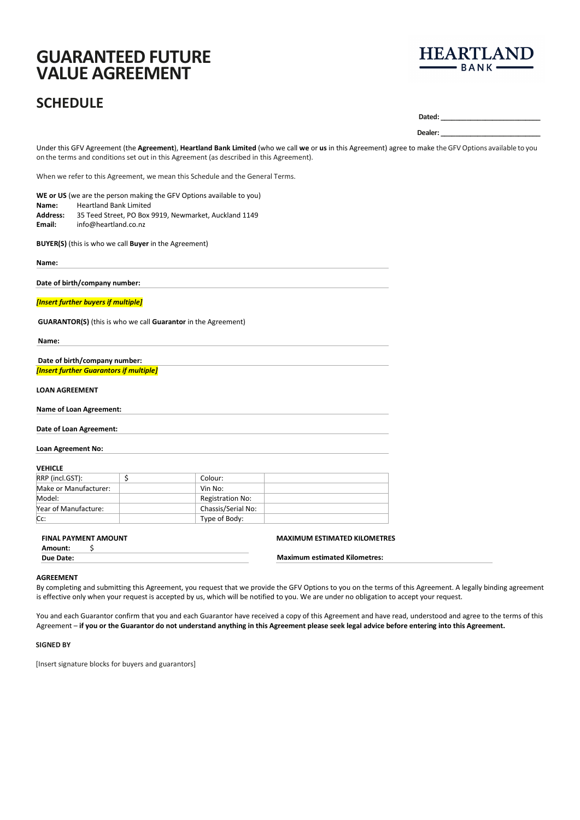# **GUARANTEED FUTURE VALUE AGREEMENT**

## **SCHEDULE**



**Dated: \_\_\_\_\_\_\_\_\_\_\_\_\_\_\_\_\_\_\_\_\_\_\_\_\_\_\_**

**Dealer: \_\_\_\_\_\_\_\_\_\_\_\_\_\_\_\_\_\_\_\_\_\_\_\_\_\_\_**

Under this GFV Agreement (the **Agreement**), **Heartland Bank Limited** (who we call **we** or **us** in this Agreement) agree to make theGFVOptions available to you on the terms and conditions set out in this Agreement (as described in this Agreement).

When we refer to this Agreement, we mean this Schedule and the General Terms.

| WE or US (we are the person making the GFV Options available to you) |                                                       |  |  |
|----------------------------------------------------------------------|-------------------------------------------------------|--|--|
| Name:                                                                | <b>Heartland Bank Limited</b>                         |  |  |
| Address:                                                             | 35 Teed Street. PO Box 9919. Newmarket. Auckland 1149 |  |  |
| Email:                                                               | info@heartland.co.nz                                  |  |  |

**BUYER(S)** (this is who we call **Buyer** in the Agreement)

**Name:**

**Date of birth/company number:**

*[Insert further buyers if multiple]*

**GUARANTOR(S)** (this is who we call **Guarantor** in the Agreement)

**Name:**

**Date of birth/company number:** *[Insert further Guarantors if multiple]*

**LOAN AGREEMENT**

**Name of Loan Agreement:**

**Date of Loan Agreement:**

**Loan Agreement No:**

## **VEHICLE**

| RRP (incl.GST):       | Colour:            |  |
|-----------------------|--------------------|--|
| Make or Manufacturer: | Vin No:            |  |
| Model:                | Registration No:   |  |
| Year of Manufacture:  | Chassis/Serial No: |  |
| Cc:                   | Type of Body:      |  |

## **FINAL PAYMENT AMOUNT**

**Amount:** \$ **Due Date:**

**MAXIMUM ESTIMATED KILOMETRES**

| ue Date: | <b>Maximum estimated Kilometres:</b> |
|----------|--------------------------------------|
|          |                                      |

**AGREEMENT**

By completing and submitting this Agreement, you request that we provide the GFV Options to you on the terms of this Agreement. A legally binding agreement is effective only when your request is accepted by us, which will be notified to you. We are under no obligation to accept your request.

You and each Guarantor confirm that you and each Guarantor have received a copy of this Agreement and have read, understood and agree to the terms of this Agreement – **if you or the Guarantor do not understand anything in this Agreement please seek legal advice before entering into this Agreement.**

## **SIGNED BY**

[Insert signature blocks for buyers and guarantors]